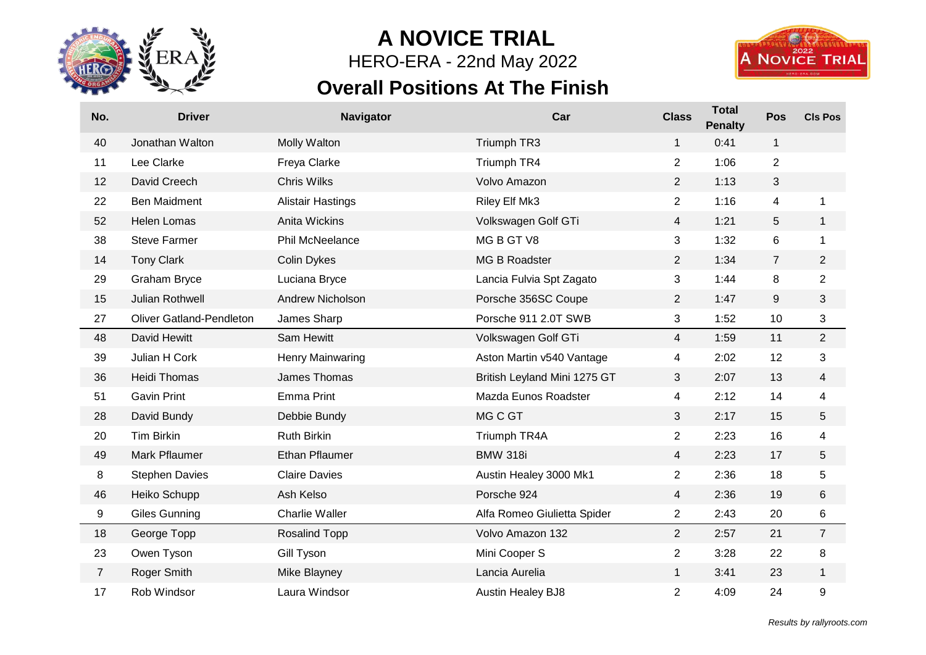

## **A NOVICE TRIAL**

HERO-ERA - 22nd May 2022

## **Overall Positions At The Finish**



| No.            | <b>Driver</b>                   | <b>Navigator</b>         | Car                          | <b>Class</b>   | <b>Total</b><br><b>Penalty</b> | Pos            | <b>CIs Pos</b> |
|----------------|---------------------------------|--------------------------|------------------------------|----------------|--------------------------------|----------------|----------------|
| 40             | Jonathan Walton                 | Molly Walton             | Triumph TR3                  | $\mathbf{1}$   | 0:41                           | 1              |                |
| 11             | Lee Clarke                      | Freya Clarke             | Triumph TR4                  | $\overline{2}$ | 1:06                           | $\overline{c}$ |                |
| 12             | David Creech                    | <b>Chris Wilks</b>       | Volvo Amazon                 | $\overline{2}$ | 1:13                           | 3              |                |
| 22             | <b>Ben Maidment</b>             | <b>Alistair Hastings</b> | Riley Elf Mk3                | $\overline{2}$ | 1:16                           | 4              | 1              |
| 52             | <b>Helen Lomas</b>              | Anita Wickins            | Volkswagen Golf GTi          | $\overline{4}$ | 1:21                           | 5              | 1              |
| 38             | <b>Steve Farmer</b>             | Phil McNeelance          | MG B GT V8                   | 3              | 1:32                           | 6              | 1              |
| 14             | <b>Tony Clark</b>               | <b>Colin Dykes</b>       | MG B Roadster                | $\overline{2}$ | 1:34                           | $\overline{7}$ | $\overline{2}$ |
| 29             | <b>Graham Bryce</b>             | Luciana Bryce            | Lancia Fulvia Spt Zagato     | 3              | 1:44                           | 8              | $\overline{c}$ |
| 15             | Julian Rothwell                 | Andrew Nicholson         | Porsche 356SC Coupe          | $\overline{2}$ | 1:47                           | 9              | 3              |
| 27             | <b>Oliver Gatland-Pendleton</b> | James Sharp              | Porsche 911 2.0T SWB         | 3              | 1:52                           | 10             | 3              |
| 48             | David Hewitt                    | Sam Hewitt               | Volkswagen Golf GTi          | $\overline{4}$ | 1:59                           | 11             | $\overline{c}$ |
| 39             | Julian H Cork                   | Henry Mainwaring         | Aston Martin v540 Vantage    | 4              | 2:02                           | 12             | 3              |
| 36             | <b>Heidi Thomas</b>             | James Thomas             | British Leyland Mini 1275 GT | 3              | 2:07                           | 13             | 4              |
| 51             | <b>Gavin Print</b>              | <b>Emma Print</b>        | Mazda Eunos Roadster         | 4              | 2:12                           | 14             | 4              |
| 28             | David Bundy                     | Debbie Bundy             | MG C GT                      | 3              | 2:17                           | 15             | 5              |
| 20             | Tim Birkin                      | <b>Ruth Birkin</b>       | Triumph TR4A                 | $\overline{c}$ | 2:23                           | 16             | 4              |
| 49             | Mark Pflaumer                   | <b>Ethan Pflaumer</b>    | <b>BMW 318i</b>              | $\overline{4}$ | 2:23                           | 17             | 5              |
| 8              | <b>Stephen Davies</b>           | <b>Claire Davies</b>     | Austin Healey 3000 Mk1       | $\overline{2}$ | 2:36                           | 18             | 5              |
| 46             | Heiko Schupp                    | Ash Kelso                | Porsche 924                  | $\overline{4}$ | 2:36                           | 19             | 6              |
| 9              | Giles Gunning                   | <b>Charlie Waller</b>    | Alfa Romeo Giulietta Spider  | $\overline{2}$ | 2:43                           | 20             | 6              |
| 18             | George Topp                     | <b>Rosalind Topp</b>     | Volvo Amazon 132             | $\overline{2}$ | 2:57                           | 21             | $\overline{7}$ |
| 23             | Owen Tyson                      | Gill Tyson               | Mini Cooper S                | $\overline{2}$ | 3:28                           | 22             | 8              |
| $\overline{7}$ | Roger Smith                     | Mike Blayney             | Lancia Aurelia               | $\mathbf{1}$   | 3:41                           | 23             | 1              |
| 17             | Rob Windsor                     | Laura Windsor            | <b>Austin Healey BJ8</b>     | $\overline{2}$ | 4:09                           | 24             | 9              |